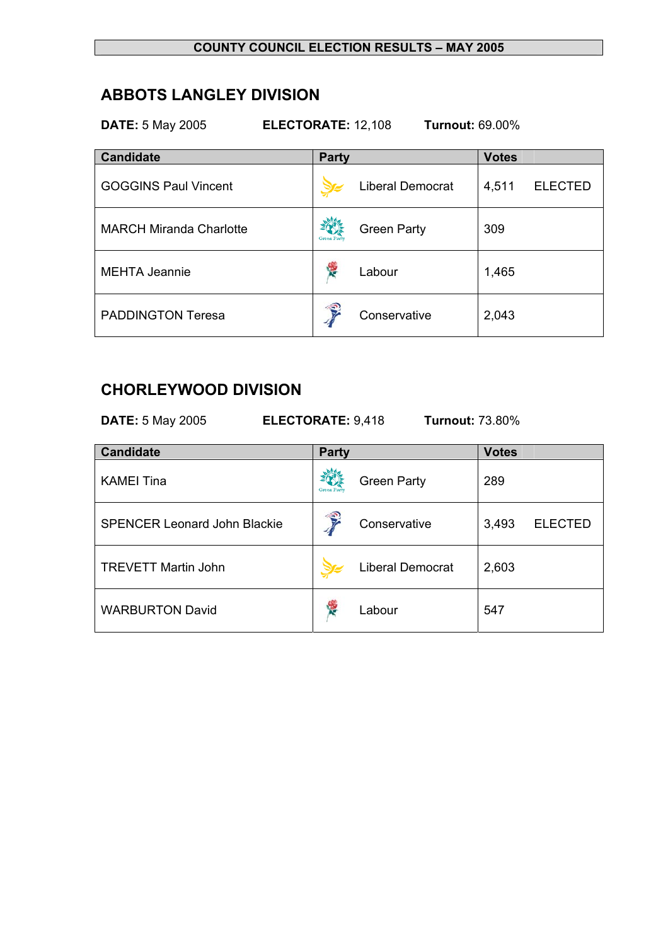## **COUNTY COUNCIL ELECTION RESULTS – MAY 2005**

# **ABBOTS LANGLEY DIVISION**

**DATE:** 5 May 2005 **ELECTORATE:** 12,108 **Turnout:** 69.00%

| <b>Candidate</b>               | <b>Party</b>                             | <b>Votes</b>            |  |
|--------------------------------|------------------------------------------|-------------------------|--|
| <b>GOGGINS Paul Vincent</b>    | <b>Liberal Democrat</b>                  | <b>ELECTED</b><br>4,511 |  |
| <b>MARCH Miranda Charlotte</b> | <b>Green Party</b><br><b>Green Party</b> | 309                     |  |
| <b>MEHTA Jeannie</b>           | 樱<br>Labour                              | 1,465                   |  |
| <b>PADDINGTON Teresa</b>       | Ç<br>Conservative                        | 2,043                   |  |

# **CHORLEYWOOD DIVISION**

| ELECTORATE: 9,418<br><b>DATE: 5 May 2005</b><br><b>Turnout: 73.80%</b> |                    |                         |              |                |
|------------------------------------------------------------------------|--------------------|-------------------------|--------------|----------------|
| <b>Candidate</b>                                                       | <b>Party</b>       |                         | <b>Votes</b> |                |
| <b>KAMEI Tina</b>                                                      | <b>Green Party</b> | <b>Green Party</b>      | 289          |                |
| <b>SPENCER Leonard John Blackie</b>                                    |                    | Conservative            | 3,493        | <b>ELECTED</b> |
| <b>TREVETT Martin John</b>                                             |                    | <b>Liberal Democrat</b> | 2,603        |                |
| <b>WARBURTON David</b>                                                 | Y.                 | Labour                  | 547          |                |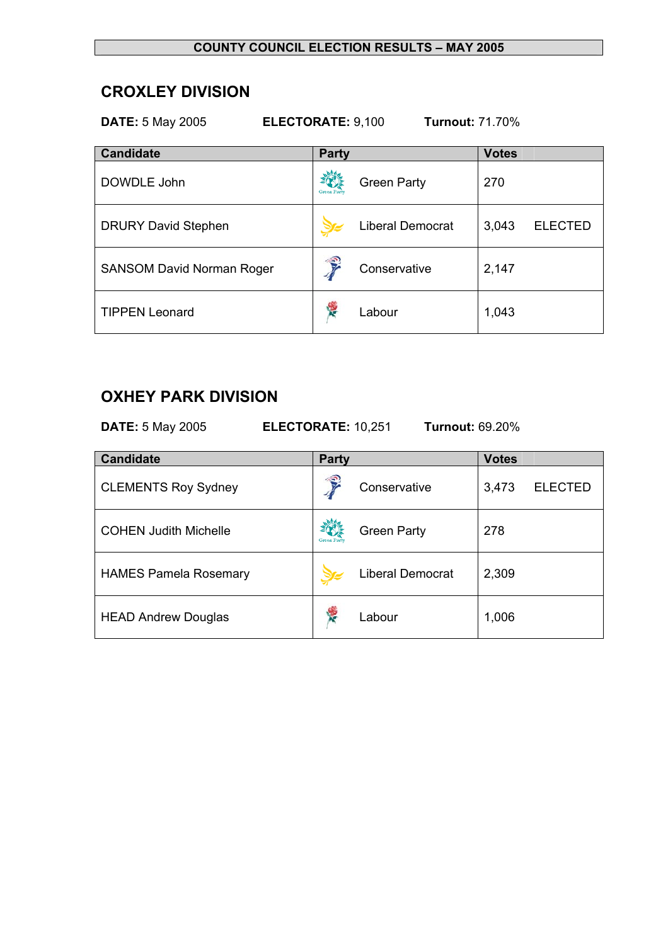### **COUNTY COUNCIL ELECTION RESULTS – MAY 2005**

## **CROXLEY DIVISION**

| ELECTORATE: 9,100<br><b>Turnout: 71.70%</b><br><b>DATE: 5 May 2005</b> |                    |                    |              |                |
|------------------------------------------------------------------------|--------------------|--------------------|--------------|----------------|
| <b>Candidate</b>                                                       | Party              |                    | <b>Votes</b> |                |
| DOWDLE John                                                            | <b>Green Party</b> | <b>Green Party</b> | 270          |                |
| <b>DRURY David Stephen</b>                                             |                    | Liberal Democrat   | 3,043        | <b>ELECTED</b> |
| <b>SANSOM David Norman Roger</b>                                       | $\mathbf{E}$       | Conservative       | 2,147        |                |
| <b>TIPPEN Leonard</b>                                                  |                    | Labour             | 1,043        |                |

# **OXHEY PARK DIVISION**

| <b>DATE:</b> 5 May 2005<br>ELECTORATE: 10,251<br><b>Turnout: 69.20%</b> |                   |                         |              |                |
|-------------------------------------------------------------------------|-------------------|-------------------------|--------------|----------------|
| <b>Candidate</b>                                                        | <b>Party</b>      |                         | <b>Votes</b> |                |
| <b>CLEMENTS Roy Sydney</b>                                              | Ş                 | Conservative            | 3,473        | <b>ELECTED</b> |
| <b>COHEN Judith Michelle</b>                                            | <b>Green Part</b> | <b>Green Party</b>      | 278          |                |
| <b>HAMES Pamela Rosemary</b>                                            |                   | <b>Liberal Democrat</b> | 2,309        |                |
| <b>HEAD Andrew Douglas</b>                                              |                   | Labour                  | 1,006        |                |